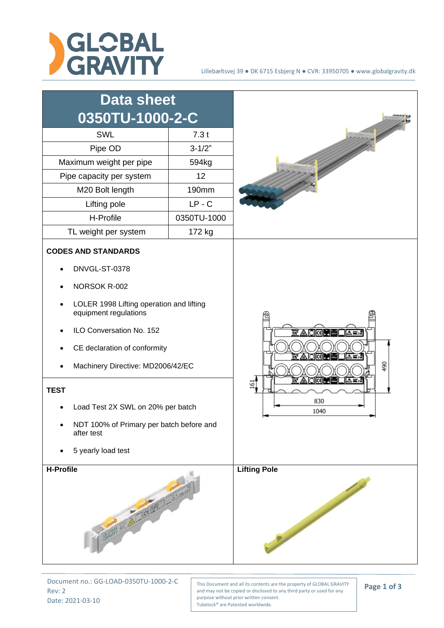



Document no.: GG-LOAD-0350TU-1000-2-C Rev: 2 Date: 2021-03-10

This Document and all its contents are the property of GLOBAL GRAVITY and may not be copied or disclosed to any third party or used for any purpose without prior written consent. Tubelock® are Patented worldwide.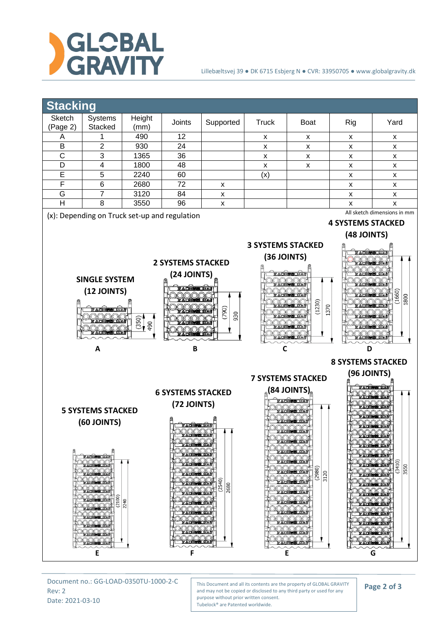

## Lillebæltsvej 39 ● DK 6715 Esbjerg N ● CVR: 33950705 ● www.globalgravity.dk



Document no.: GG-LOAD-0350TU-1000-2-C Rev: 2 Date: 2021-03-10

This Document and all its contents are the property of GLOBAL GRAVITY and may not be copied or disclosed to any third party or used for any purpose without prior written consent. Tubelock® are Patented worldwide.

## **Page 2 of 3**